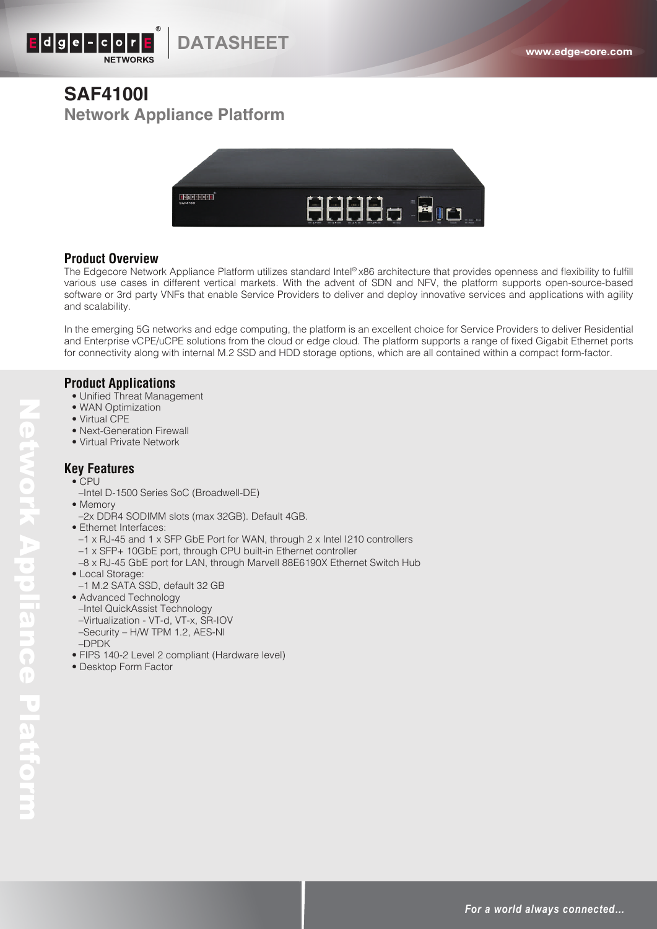

# **SAF4100I Network Appliance Platform**



### **Product Overview**

The Edgecore Network Appliance Platform utilizes standard Intel® x86 architecture that provides openness and flexibility to fulfill various use cases in different vertical markets. With the advent of SDN and NFV, the platform supports open-source-based software or 3rd party VNFs that enable Service Providers to deliver and deploy innovative services and applications with agility and scalability.

In the emerging 5G networks and edge computing, the platform is an excellent choice for Service Providers to deliver Residential and Enterprise vCPE/uCPE solutions from the cloud or edge cloud. The platform supports a range of fixed Gigabit Ethernet ports for connectivity along with internal M.2 SSD and HDD storage options, which are all contained within a compact form-factor.

### **Product Applications**

- Unified Threat Management
- WAN Optimization
- Virtual CPE
- Next-Generation Firewall
- Virtual Private Network

### **Key Features**

• CPU

Network Appliance Platform

**Network Appliance Platform** 

- –Intel D-1500 Series SoC (Broadwell-DE)
- Memory
- –2x DDR4 SODIMM slots (max 32GB). Default 4GB.
- Ethernet Interfaces:
- –1 x RJ-45 and 1 x SFP GbE Port for WAN, through 2 x Intel I210 controllers
- –1 x SFP+ 10GbE port, through CPU built-in Ethernet controller
- –8 x RJ-45 GbE port for LAN, through Marvell 88E6190X Ethernet Switch Hub
- Local Storage:
- –1 M.2 SATA SSD, default 32 GB
- Advanced Technology –Intel QuickAssist Technology –Virtualization - VT-d, VT-x, SR-IOV –Security – H/W TPM 1.2, AES-NI –DPDK
- FIPS 140-2 Level 2 compliant (Hardware level)
- Desktop Form Factor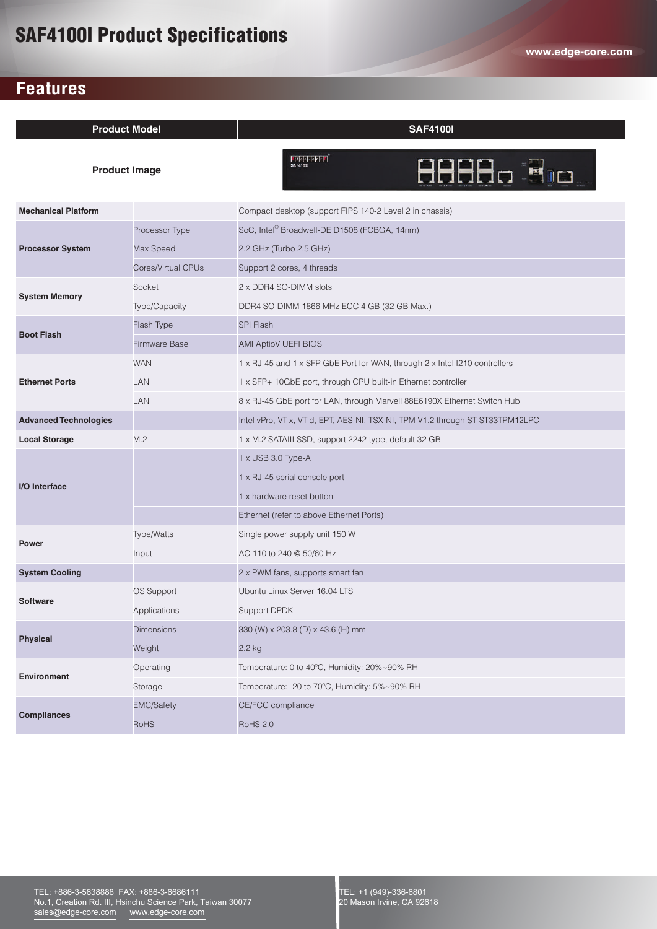# SAF4100I Product Specifications

## **Features**

| <b>Product Model</b>         |                      | <b>SAF4100I</b>                                                               |
|------------------------------|----------------------|-------------------------------------------------------------------------------|
| <b>Product Image</b>         |                      | $ e $ d gle - c o $r$ $e$<br>8888a 80a -<br><b>SAF4100</b>                    |
| <b>Mechanical Platform</b>   |                      | Compact desktop (support FIPS 140-2 Level 2 in chassis)                       |
| <b>Processor System</b>      | Processor Type       | SoC, Intel® Broadwell-DE D1508 (FCBGA, 14nm)                                  |
|                              | Max Speed            | 2.2 GHz (Turbo 2.5 GHz)                                                       |
|                              | Cores/Virtual CPUs   | Support 2 cores, 4 threads                                                    |
| <b>System Memory</b>         | Socket               | 2 x DDR4 SO-DIMM slots                                                        |
|                              | Type/Capacity        | DDR4 SO-DIMM 1866 MHz ECC 4 GB (32 GB Max.)                                   |
| <b>Boot Flash</b>            | Flash Type           | <b>SPI Flash</b>                                                              |
|                              | <b>Firmware Base</b> | <b>AMI AptioV UEFI BIOS</b>                                                   |
| <b>Ethernet Ports</b>        | <b>WAN</b>           | 1 x RJ-45 and 1 x SFP GbE Port for WAN, through 2 x Intel I210 controllers    |
|                              | LAN                  | 1 x SFP+ 10GbE port, through CPU built-in Ethernet controller                 |
|                              | <b>LAN</b>           | 8 x RJ-45 GbE port for LAN, through Marvell 88E6190X Ethernet Switch Hub      |
| <b>Advanced Technologies</b> |                      | Intel vPro, VT-x, VT-d, EPT, AES-NI, TSX-NI, TPM V1.2 through ST ST33TPM12LPC |
| <b>Local Storage</b>         | M.2                  | 1 x M.2 SATAIII SSD, support 2242 type, default 32 GB                         |
| I/O Interface                |                      | 1 x USB 3.0 Type-A                                                            |
|                              |                      | 1 x RJ-45 serial console port                                                 |
|                              |                      | 1 x hardware reset button                                                     |
|                              |                      | Ethernet (refer to above Ethernet Ports)                                      |
| <b>Power</b>                 | Type/Watts           | Single power supply unit 150 W                                                |
|                              | Input                | AC 110 to 240 @ 50/60 Hz                                                      |
| <b>System Cooling</b>        |                      | 2 x PWM fans, supports smart fan                                              |
| <b>Software</b>              | OS Support           | Ubuntu Linux Server 16.04 LTS                                                 |
|                              | Applications         | Support DPDK                                                                  |
| <b>Physical</b>              | <b>Dimensions</b>    | 330 (W) x 203.8 (D) x 43.6 (H) mm                                             |
|                              | Weight               | 2.2 kg                                                                        |
| <b>Environment</b>           | Operating            | Temperature: 0 to 40°C, Humidity: 20%~90% RH                                  |
|                              | Storage              | Temperature: -20 to 70°C, Humidity: 5%~90% RH                                 |
| <b>Compliances</b>           | <b>EMC/Safety</b>    | CE/FCC compliance                                                             |
|                              | <b>RoHS</b>          | <b>RoHS 2.0</b>                                                               |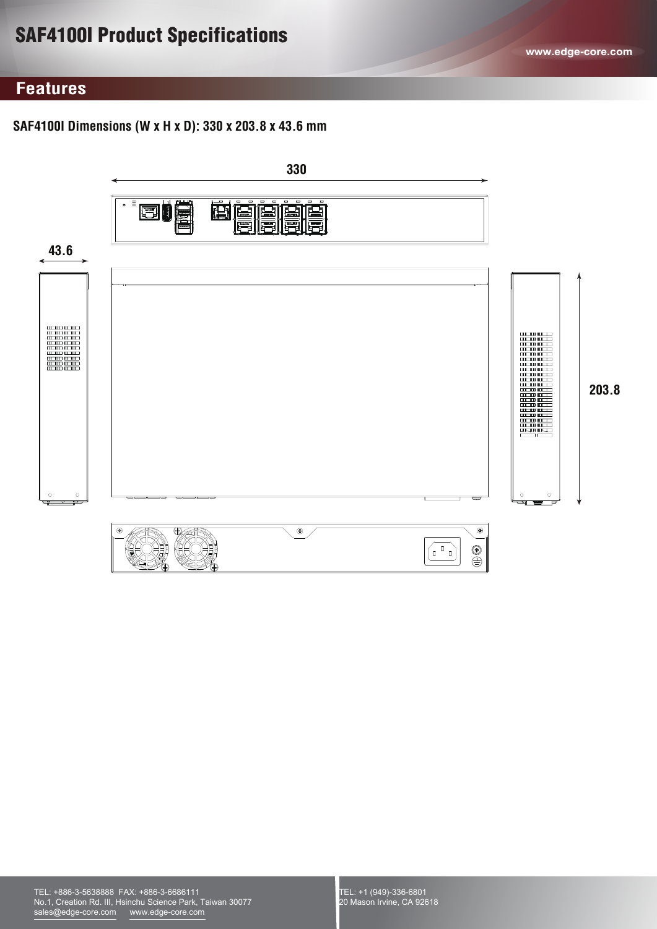# SAF4100I Product Specifications

## **Features**

### **SAF4100I Dimensions (W x H x D): 330 x 203.8 x 43.6 mm**